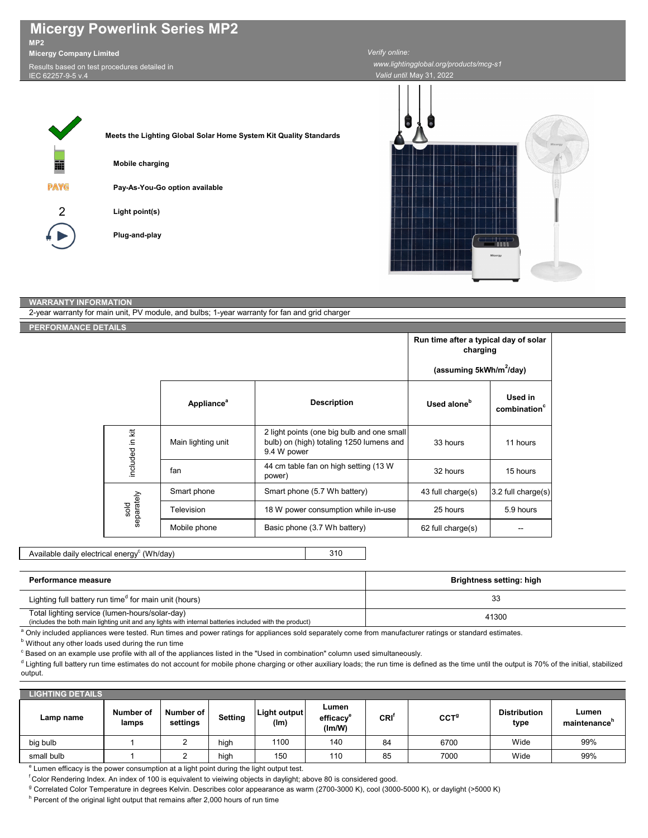| MP2                            | <b>Micergy Powerlink Series MP2</b>                                                                                                      |                                     |
|--------------------------------|------------------------------------------------------------------------------------------------------------------------------------------|-------------------------------------|
| <b>Micergy Company Limited</b> |                                                                                                                                          | Verify online:                      |
| IEC 62257-9-5 v.4              | Results based on test procedures detailed in                                                                                             | www.lightingglo<br>Valid until. May |
| 藟<br><b>PAYG</b><br>2          | Meets the Lighting Global Solar Home System Kit Quality Standards<br>Mobile charging<br>Pay-As-You-Go option available<br>Light point(s) |                                     |



*V*31, 2022

 *www.lightingglobal.org/products/mcg-s1*

## **WARRANTY INFORMATION**

**Plug-and-play**

| 2-year warranty for main unit, PV module, and bulbs; 1-year warranty for fan and grid charger |  |                               |                                                                                                       |                                                   |                                     |  |
|-----------------------------------------------------------------------------------------------|--|-------------------------------|-------------------------------------------------------------------------------------------------------|---------------------------------------------------|-------------------------------------|--|
| PERFORMANCE DETAILS                                                                           |  |                               |                                                                                                       |                                                   |                                     |  |
|                                                                                               |  |                               |                                                                                                       | Run time after a typical day of solar<br>charging |                                     |  |
|                                                                                               |  |                               | (assuming 5kWh/m <sup>2</sup> /day)                                                                   |                                                   |                                     |  |
|                                                                                               |  | <b>Appliance</b> <sup>a</sup> | <b>Description</b>                                                                                    | Used alone <sup>b</sup>                           | Used in<br>combination <sup>c</sup> |  |
| included in kit<br>sold<br>separately                                                         |  | Main lighting unit            | 2 light points (one big bulb and one small<br>bulb) on (high) totaling 1250 lumens and<br>9.4 W power | 33 hours                                          | 11 hours                            |  |
|                                                                                               |  | fan                           | 44 cm table fan on high setting (13 W<br>power)                                                       | 32 hours                                          | 15 hours                            |  |
|                                                                                               |  | Smart phone                   | Smart phone (5.7 Wh battery)                                                                          | 43 full charge(s)                                 | 3.2 full charge(s)                  |  |
|                                                                                               |  | Television                    | 18 W power consumption while in-use                                                                   | 25 hours                                          | 5.9 hours                           |  |
|                                                                                               |  | Mobile phone                  | Basic phone (3.7 Wh battery)                                                                          | 62 full charge(s)                                 |                                     |  |

310 Available daily electrical energy $^{\rm c}$  (Wh/day)

| Performance measure                                                                                                                                                | Brightness setting: high |  |  |  |
|--------------------------------------------------------------------------------------------------------------------------------------------------------------------|--------------------------|--|--|--|
| Lighting full battery run time <sup>d</sup> for main unit (hours)                                                                                                  | 33                       |  |  |  |
| Total lighting service (lumen-hours/solar-day)<br>41300<br>(includes the both main lighting unit and any lights with internal batteries included with the product) |                          |  |  |  |
| Only included appliances were tested. Run times and power ratings for appliances sold separately come from manufacturer ratings or standard estimates.             |                          |  |  |  |

**b** Without any other loads used during the run time

 $\degree$  Based on an example use profile with all of the appliances listed in the "Used in combination" column used simultaneously.

d Lighting full battery run time estimates do not account for mobile phone charging or other auxiliary loads; the run time is defined as the time until the output is 70% of the initial, stabilized output.

| <b>LIGHTING DETAILS</b> |                    |                       |         |                      |                                          |      |                  |                             |                       |
|-------------------------|--------------------|-----------------------|---------|----------------------|------------------------------------------|------|------------------|-----------------------------|-----------------------|
| Lamp name               | Number of<br>lamps | Number of<br>settings | Setting | Light output<br>(lm) | Lumen<br>efficacy <sup>e</sup><br>(Im/W) | CRI' | CCT <sup>g</sup> | <b>Distribution</b><br>type | Lumen<br>maintenance" |
| big bulb                |                    |                       | high    | 1100                 | 140                                      | 84   | 6700             | Wide                        | 99%                   |
| small bulb              |                    | -                     | high    | 150                  | 110                                      | 85   | 7000             | Wide                        | 99%                   |

<sup>e</sup> Lumen efficacy is the power consumption at a light point during the light output test.

 $f$ Color Rendering Index. An index of 100 is equivalent to vieiwing objects in daylight; above 80 is considered good.

<sup>g</sup> Correlated Color Temperature in degrees Kelvin. Describes color appearance as warm (2700-3000 K), cool (3000-5000 K), or daylight (>5000 K)

<sup>h</sup> Percent of the original light output that remains after 2,000 hours of run time